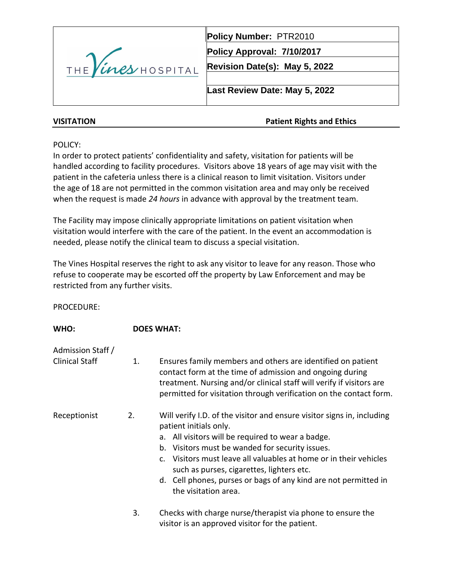

**Policy Number:** PTR2010

**Policy Approval: 7/10/2017**

**Revision Date(s): May 5, 2022**

**Last Review Date: May 5, 2022**

# **VISITATION Patient Rights and Ethics**

POLICY:

In order to protect patients' confidentiality and safety, visitation for patients will be handled according to facility procedures. Visitors above 18 years of age may visit with the patient in the cafeteria unless there is a clinical reason to limit visitation. Visitors under the age of 18 are not permitted in the common visitation area and may only be received when the request is made *24 hours* in advance with approval by the treatment team.

The Facility may impose clinically appropriate limitations on patient visitation when visitation would interfere with the care of the patient. In the event an accommodation is needed, please notify the clinical team to discuss a special visitation.

The Vines Hospital reserves the right to ask any visitor to leave for any reason. Those who refuse to cooperate may be escorted off the property by Law Enforcement and may be restricted from any further visits.

PROCEDURE:

| WHO:                                       |    | <b>DOES WHAT:</b>                                                                                                                                                                                                                                                                                                                                                                                                     |  |  |
|--------------------------------------------|----|-----------------------------------------------------------------------------------------------------------------------------------------------------------------------------------------------------------------------------------------------------------------------------------------------------------------------------------------------------------------------------------------------------------------------|--|--|
| Admission Staff /<br><b>Clinical Staff</b> | 1. | Ensures family members and others are identified on patient<br>contact form at the time of admission and ongoing during<br>treatment. Nursing and/or clinical staff will verify if visitors are<br>permitted for visitation through verification on the contact form.                                                                                                                                                 |  |  |
| Receptionist                               | 2. | Will verify I.D. of the visitor and ensure visitor signs in, including<br>patient initials only.<br>a. All visitors will be required to wear a badge.<br>b. Visitors must be wanded for security issues.<br>c. Visitors must leave all valuables at home or in their vehicles<br>such as purses, cigarettes, lighters etc.<br>d. Cell phones, purses or bags of any kind are not permitted in<br>the visitation area. |  |  |
|                                            | 3. | Checks with charge nurse/therapist via phone to ensure the<br>visitor is an approved visitor for the patient.                                                                                                                                                                                                                                                                                                         |  |  |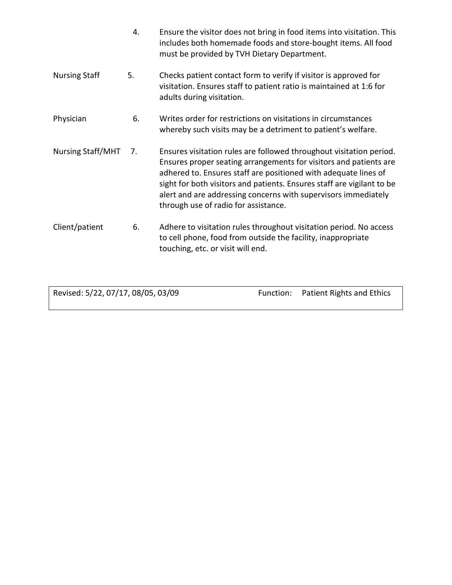|                          | 4. | Ensure the visitor does not bring in food items into visitation. This<br>includes both homemade foods and store-bought items. All food<br>must be provided by TVH Dietary Department.                                                                                                                                                                                                           |
|--------------------------|----|-------------------------------------------------------------------------------------------------------------------------------------------------------------------------------------------------------------------------------------------------------------------------------------------------------------------------------------------------------------------------------------------------|
| <b>Nursing Staff</b>     | 5. | Checks patient contact form to verify if visitor is approved for<br>visitation. Ensures staff to patient ratio is maintained at 1:6 for<br>adults during visitation.                                                                                                                                                                                                                            |
| Physician                | 6. | Writes order for restrictions on visitations in circumstances<br>whereby such visits may be a detriment to patient's welfare.                                                                                                                                                                                                                                                                   |
| <b>Nursing Staff/MHT</b> | 7. | Ensures visitation rules are followed throughout visitation period.<br>Ensures proper seating arrangements for visitors and patients are<br>adhered to. Ensures staff are positioned with adequate lines of<br>sight for both visitors and patients. Ensures staff are vigilant to be<br>alert and are addressing concerns with supervisors immediately<br>through use of radio for assistance. |
| Client/patient           | 6. | Adhere to visitation rules throughout visitation period. No access<br>to cell phone, food from outside the facility, inappropriate<br>touching, etc. or visit will end.                                                                                                                                                                                                                         |

Revised: 5/22, 07/17, 08/05, 03/09 Function: Patient Rights and Ethics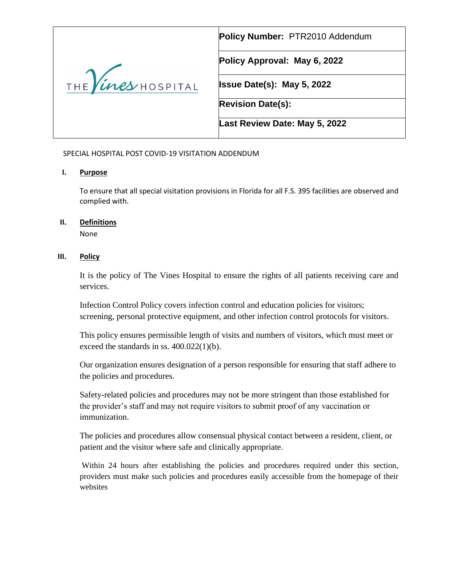|                          | Policy Number: PTR2010 Addendum   |
|--------------------------|-----------------------------------|
|                          | Policy Approval: May 6, 2022      |
| THE <i>ines</i> HOSPITAL | <b>Issue Date(s): May 5, 2022</b> |
|                          | <b>Revision Date(s):</b>          |
|                          | Last Review Date: May 5, 2022     |

SPECIAL HOSPITAL POST COVID-19 VISITATION ADDENDUM

# **I. Purpose**

To ensure that all special visitation provisions in Florida for all F.S. 395 facilities are observed and complied with.

### **II. Definitions**

None

# **III. Policy**

It is the policy of The Vines Hospital to ensure the rights of all patients receiving care and services.

Infection Control Policy covers infection control and education policies for visitors; screening, personal protective equipment, and other infection control protocols for visitors.

This policy ensures permissible length of visits and numbers of visitors, which must meet or exceed the standards in ss. 400.022(1)(b).

Our organization ensures designation of a person responsible for ensuring that staff adhere to the policies and procedures.

Safety-related policies and procedures may not be more stringent than those established for the provider's staff and may not require visitors to submit proof of any vaccination or immunization.

The policies and procedures allow consensual physical contact between a resident, client, or patient and the visitor where safe and clinically appropriate.

Within 24 hours after establishing the policies and procedures required under this section, providers must make such policies and procedures easily accessible from the homepage of their websites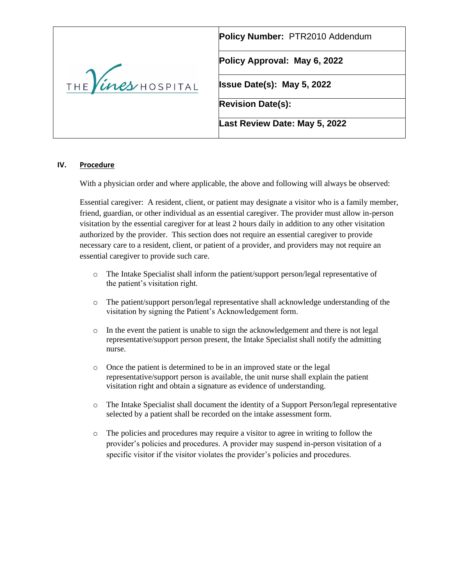|                    | Policy Number: PTR2010 Addendum   |
|--------------------|-----------------------------------|
|                    | Policy Approval: May 6, 2022      |
| THE Vines HOSPITAL | <b>Issue Date(s): May 5, 2022</b> |
|                    | <b>Revision Date(s):</b>          |
|                    | Last Review Date: May 5, 2022     |

### **IV. Procedure**

With a physician order and where applicable, the above and following will always be observed:

Essential caregiver: A resident, client, or patient may designate a visitor who is a family member, friend, guardian, or other individual as an essential caregiver. The provider must allow in-person visitation by the essential caregiver for at least 2 hours daily in addition to any other visitation authorized by the provider. This section does not require an essential caregiver to provide necessary care to a resident, client, or patient of a provider, and providers may not require an essential caregiver to provide such care.

- o The Intake Specialist shall inform the patient/support person/legal representative of the patient's visitation right.
- o The patient/support person/legal representative shall acknowledge understanding of the visitation by signing the Patient's Acknowledgement form.
- $\circ$  In the event the patient is unable to sign the acknowledgement and there is not legal representative/support person present, the Intake Specialist shall notify the admitting nurse.
- o Once the patient is determined to be in an improved state or the legal representative/support person is available, the unit nurse shall explain the patient visitation right and obtain a signature as evidence of understanding.
- o The Intake Specialist shall document the identity of a Support Person/legal representative selected by a patient shall be recorded on the intake assessment form.
- o The policies and procedures may require a visitor to agree in writing to follow the provider's policies and procedures. A provider may suspend in-person visitation of a specific visitor if the visitor violates the provider's policies and procedures.